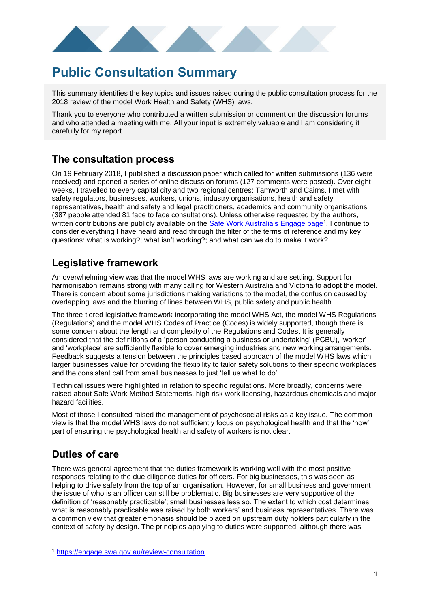

# **Public Consultation Summary**

This summary identifies the key topics and issues raised during the public consultation process for the 2018 review of the model Work Health and Safety (WHS) laws.

Thank you to everyone who contributed a written submission or comment on the discussion forums and who attended a meeting with me. All your input is extremely valuable and I am considering it carefully for my report.

## **The consultation process**

On 19 February 2018, I published a discussion paper which called for written submissions (136 were received) and opened a series of online discussion forums (127 comments were posted). Over eight weeks, I travelled to every capital city and two regional centres: Tamworth and Cairns. I met with safety regulators, businesses, workers, unions, industry organisations, health and safety representatives, health and safety and legal practitioners, academics and community organisations (387 people attended 81 face to face consultations). Unless otherwise requested by the authors, written contributions are publicly available on the **Safe Work Australia's Engage page**<sup>1</sup>. I continue to consider everything I have heard and read through the filter of the terms of reference and my key questions: what is working?; what isn't working?; and what can we do to make it work?

## **Legislative framework**

An overwhelming view was that the model WHS laws are working and are settling. Support for harmonisation remains strong with many calling for Western Australia and Victoria to adopt the model. There is concern about some jurisdictions making variations to the model, the confusion caused by overlapping laws and the blurring of lines between WHS, public safety and public health.

The three-tiered legislative framework incorporating the model WHS Act, the model WHS Regulations (Regulations) and the model WHS Codes of Practice (Codes) is widely supported, though there is some concern about the length and complexity of the Regulations and Codes. It is generally considered that the definitions of a 'person conducting a business or undertaking' (PCBU), 'worker' and 'workplace' are sufficiently flexible to cover emerging industries and new working arrangements. Feedback suggests a tension between the principles based approach of the model WHS laws which larger businesses value for providing the flexibility to tailor safety solutions to their specific workplaces and the consistent call from small businesses to just 'tell us what to do'.

Technical issues were highlighted in relation to specific regulations. More broadly, concerns were raised about Safe Work Method Statements, high risk work licensing, hazardous chemicals and major hazard facilities.

Most of those I consulted raised the management of psychosocial risks as a key issue. The common view is that the model WHS laws do not sufficiently focus on psychological health and that the 'how' part of ensuring the psychological health and safety of workers is not clear.

## **Duties of care**

-

There was general agreement that the duties framework is working well with the most positive responses relating to the due diligence duties for officers. For big businesses, this was seen as helping to drive safety from the top of an organisation. However, for small business and government the issue of who is an officer can still be problematic. Big businesses are very supportive of the definition of 'reasonably practicable'; small businesses less so. The extent to which cost determines what is reasonably practicable was raised by both workers' and business representatives. There was a common view that greater emphasis should be placed on upstream duty holders particularly in the context of safety by design. The principles applying to duties were supported, although there was

<sup>1</sup> <https://engage.swa.gov.au/review-consultation>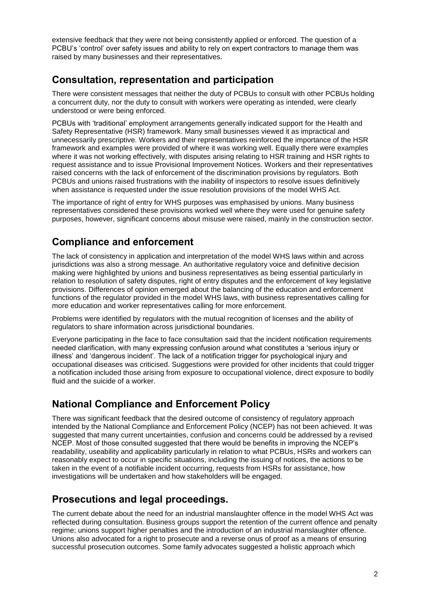extensive feedback that they were not being consistently applied or enforced. The question of a PCBU's 'control' over safety issues and ability to rely on expert contractors to manage them was raised by many businesses and their representatives.

## **Consultation, representation and participation**

There were consistent messages that neither the duty of PCBUs to consult with other PCBUs holding a concurrent duty, nor the duty to consult with workers were operating as intended, were clearly understood or were being enforced.

PCBUs with 'traditional' employment arrangements generally indicated support for the Health and Safety Representative (HSR) framework. Many small businesses viewed it as impractical and unnecessarily prescriptive. Workers and their representatives reinforced the importance of the HSR framework and examples were provided of where it was working well. Equally there were examples where it was not working effectively, with disputes arising relating to HSR training and HSR rights to request assistance and to issue Provisional Improvement Notices. Workers and their representatives raised concerns with the lack of enforcement of the discrimination provisions by regulators. Both PCBUs and unions raised frustrations with the inability of inspectors to resolve issues definitively when assistance is requested under the issue resolution provisions of the model WHS Act.

The importance of right of entry for WHS purposes was emphasised by unions. Many business representatives considered these provisions worked well where they were used for genuine safety purposes, however, significant concerns about misuse were raised, mainly in the construction sector.

## **Compliance and enforcement**

The lack of consistency in application and interpretation of the model WHS laws within and across jurisdictions was also a strong message. An authoritative regulatory voice and definitive decision making were highlighted by unions and business representatives as being essential particularly in relation to resolution of safety disputes, right of entry disputes and the enforcement of key legislative provisions. Differences of opinion emerged about the balancing of the education and enforcement functions of the regulator provided in the model WHS laws, with business representatives calling for more education and worker representatives calling for more enforcement.

Problems were identified by regulators with the mutual recognition of licenses and the ability of regulators to share information across jurisdictional boundaries.

Everyone participating in the face to face consultation said that the incident notification requirements needed clarification, with many expressing confusion around what constitutes a 'serious injury or illness' and 'dangerous incident'. The lack of a notification trigger for psychological injury and occupational diseases was criticised. Suggestions were provided for other incidents that could trigger a notification included those arising from exposure to occupational violence, direct exposure to bodily fluid and the suicide of a worker.

## **National Compliance and Enforcement Policy**

There was significant feedback that the desired outcome of consistency of regulatory approach intended by the National Compliance and Enforcement Policy (NCEP) has not been achieved. It was suggested that many current uncertainties, confusion and concerns could be addressed by a revised NCEP. Most of those consulted suggested that there would be benefits in improving the NCEP's readability, useability and applicability particularly in relation to what PCBUs, HSRs and workers can reasonably expect to occur in specific situations, including the issuing of notices, the actions to be taken in the event of a notifiable incident occurring, requests from HSRs for assistance, how investigations will be undertaken and how stakeholders will be engaged.

## **Prosecutions and legal proceedings.**

The current debate about the need for an industrial manslaughter offence in the model WHS Act was reflected during consultation. Business groups support the retention of the current offence and penalty regime; unions support higher penalties and the introduction of an industrial manslaughter offence. Unions also advocated for a right to prosecute and a reverse onus of proof as a means of ensuring successful prosecution outcomes. Some family advocates suggested a holistic approach which